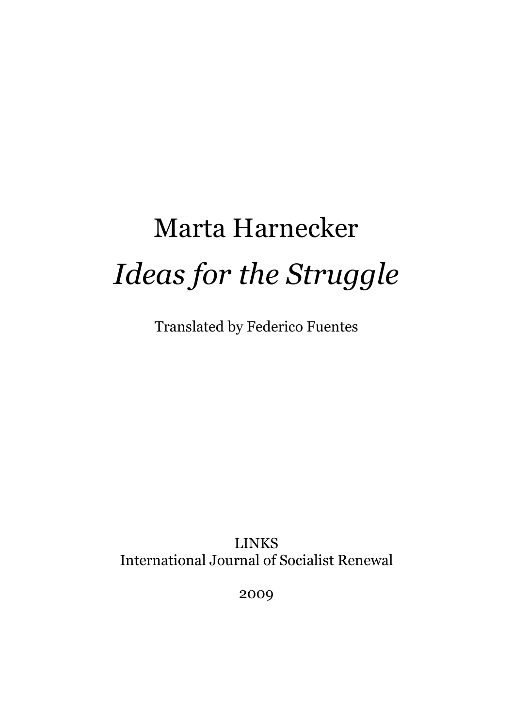# Marta Harnecker *Ideas for the Struggle*

Translated by Federico Fuentes

LINKS International Journal of Socialist Renewal

2009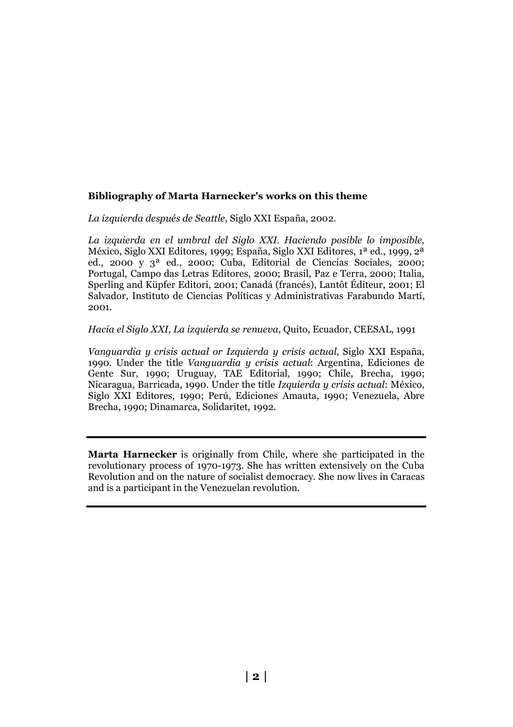#### **Bibliography of Marta Harnecker's works on this theme**

*La izquierda después de Seattle*, Siglo XXI España, 2002.

*La izquierda en el umbral del Siglo XXI. Haciendo posible lo imposible*, México, Siglo XXI Editores, 1999; España, Siglo XXI Editores, 1ª ed., 1999, 2ª ed., 2000 y 3ª ed., 2000; Cuba, Editorial de Ciencias Sociales, 2000; Portugal, Campo das Letras Editores, 2000; Brasil, Paz e Terra, 2000; Italia, Sperling and Küpfer Editori, 2001; Canadá (francés), Lantôt Éditeur, 2001; El Salvador, Instituto de Ciencias Políticas y Administrativas Farabundo Martí, 2001.

#### *Hacia el Siglo XXI, La izquierda se renueva*, Quito, Ecuador, CEESAL, 1991

*Vanguardia y crisis actual or Izquierda y crisis actual*, Siglo XXI España, 1990. Under the title *Vanguardia y crisis actual*: Argentina, Ediciones de Gente Sur, 1990; Uruguay, TAE Editorial, 1990; Chile, Brecha, 1990; Nicaragua, Barricada, 1990. Under the title *Izquierda y crisis actual*: México, Siglo XXI Editores, 1990; Perú, Ediciones Amauta, 1990; Venezuela, Abre Brecha, 1990; Dinamarca, Solidaritet, 1992.

**Marta Harnecker** is originally from Chile, where she participated in the revolutionary process of 1970-1973. She has written extensively on the Cuba Revolution and on the nature of socialist democracy. She now lives in Caracas and is a participant in the Venezuelan revolution.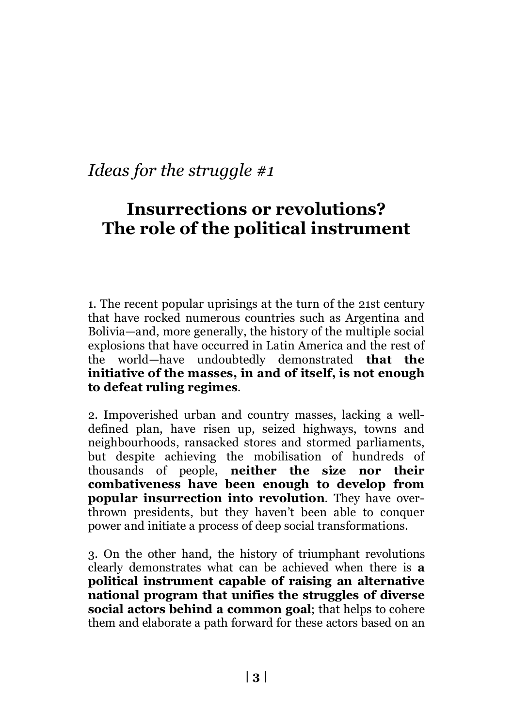# **Insurrections or revolutions? The role of the political instrument**

1. The recent popular uprisings at the turn of the 21st century that have rocked numerous countries such as Argentina and Bolivia—and, more generally, the history of the multiple social explosions that have occurred in Latin America and the rest of the world—have undoubtedly demonstrated **that the initiative of the masses, in and of itself, is not enough to defeat ruling regimes**.

2. Impoverished urban and country masses, lacking a welldefined plan, have risen up, seized highways, towns and neighbourhoods, ransacked stores and stormed parliaments, but despite achieving the mobilisation of hundreds of thousands of people, **neither the size nor their combativeness have been enough to develop from popular insurrection into revolution**. They have overthrown presidents, but they haven't been able to conquer power and initiate a process of deep social transformations.

3. On the other hand, the history of triumphant revolutions clearly demonstrates what can be achieved when there is **a political instrument capable of raising an alternative national program that unifies the struggles of diverse social actors behind a common goal**; that helps to cohere them and elaborate a path forward for these actors based on an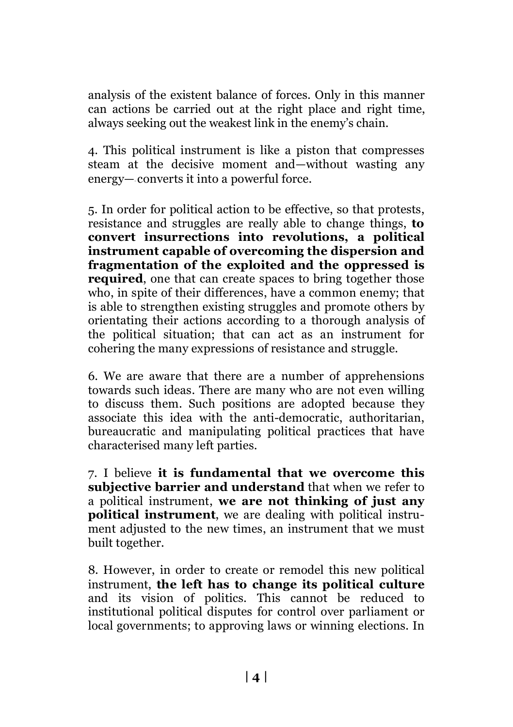analysis of the existent balance of forces. Only in this manner can actions be carried out at the right place and right time, always seeking out the weakest link in the enemy's chain.

4. This political instrument is like a piston that compresses steam at the decisive moment and—without wasting any energy—‑converts it into a powerful force.

5. In order for political action to be effective, so that protests, resistance and struggles are really able to change things, **to convert insurrections into revolutions, a political instrument capable of overcoming the dispersion and fragmentation of the exploited and the oppressed is required**, one that can create spaces to bring together those who, in spite of their differences, have a common enemy; that is able to strengthen existing struggles and promote others by orientating their actions according to a thorough analysis of the political situation; that can act as an instrument for cohering the many expressions of resistance and struggle.

6. We are aware that there are a number of apprehensions towards such ideas. There are many who are not even willing to discuss them. Such positions are adopted because they associate this idea with the anti-democratic, authoritarian, bureaucratic and manipulating political practices that have characterised many left parties.

7. I believe **it is fundamental that we overcome this subjective barrier and understand** that when we refer to a political instrument, **we are not thinking of just any political instrument**, we are dealing with political instrument adjusted to the new times, an instrument that we must built together.

8. However, in order to create or remodel this new political instrument, **the left has to change its political culture**  and its vision of politics. This cannot be reduced to institutional political disputes for control over parliament or local governments; to approving laws or winning elections. In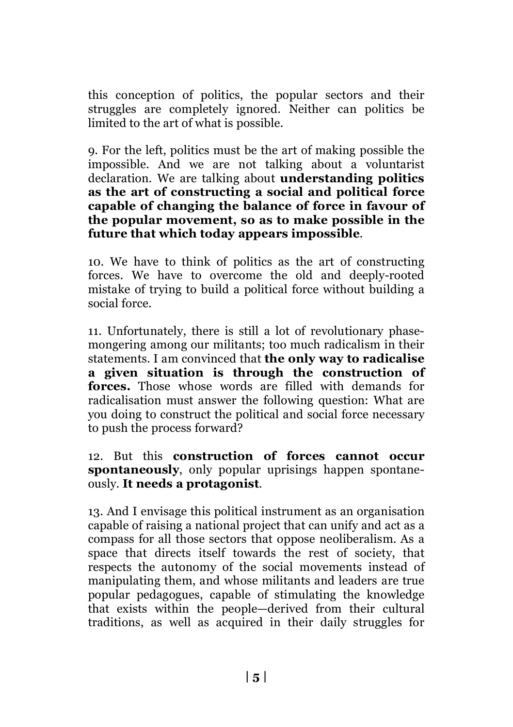this conception of politics, the popular sectors and their struggles are completely ignored. Neither can politics be limited to the art of what is possible.

9. For the left, politics must be the art of making possible the impossible. And we are not talking about a voluntarist declaration. We are talking about **understanding politics as the art of constructing a social and political force capable of changing the balance of force in favour of the popular movement, so as to make possible in the future that which today appears impossible**.

10. We have to think of politics as the art of constructing forces. We have to overcome the old and deeply-rooted mistake of trying to build a political force without building a social force.

11. Unfortunately, there is still a lot of revolutionary phasemongering among our militants; too much radicalism in their statements. I am convinced that **the only way to radicalise a given situation is through the construction of forces.** Those whose words are filled with demands for radicalisation must answer the following question: What are you doing to construct the political and social force necessary to push the process forward?

12. But this **construction of forces cannot occur spontaneously**, only popular uprisings happen spontaneously. **It needs a protagonist**.

13. And I envisage this political instrument as an organisation capable of raising a national project that can unify and act as a compass for all those sectors that oppose neoliberalism. As a space that directs itself towards the rest of society, that respects the autonomy of the social movements instead of manipulating them, and whose militants and leaders are true popular pedagogues, capable of stimulating the knowledge that exists within the people—derived from their cultural traditions, as well as acquired in their daily struggles for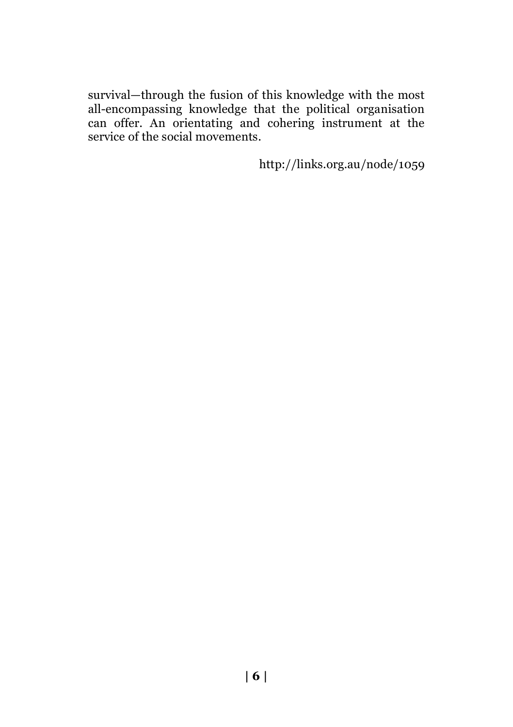survival—through the fusion of this knowledge with the most all-encompassing knowledge that the political organisation can offer. An orientating and cohering instrument at the service of the social movements.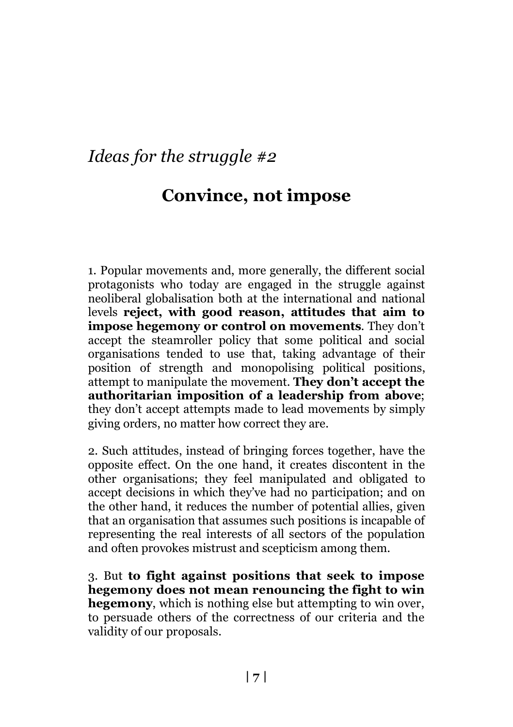## **Convince, not impose**

1. Popular movements and, more generally, the different social protagonists who today are engaged in the struggle against neoliberal globalisation both at the international and national levels **reject, with good reason, attitudes that aim to impose hegemony or control on movements**. They don't accept the steamroller policy that some political and social organisations tended to use that, taking advantage of their position of strength and monopolising political positions, attempt to manipulate the movement. **They don't accept the authoritarian imposition of a leadership from above**; they don't accept attempts made to lead movements by simply giving orders, no matter how correct they are.

2. Such attitudes, instead of bringing forces together, have the opposite effect. On the one hand, it creates discontent in the other organisations; they feel manipulated and obligated to accept decisions in which they've had no participation; and on the other hand, it reduces the number of potential allies, given that an organisation that assumes such positions is incapable of representing the real interests of all sectors of the population and often provokes mistrust and scepticism among them.

3. But **to fight against positions that seek to impose hegemony does not mean renouncing the fight to win hegemony**, which is nothing else but attempting to win over, to persuade others of the correctness of our criteria and the validity of our proposals.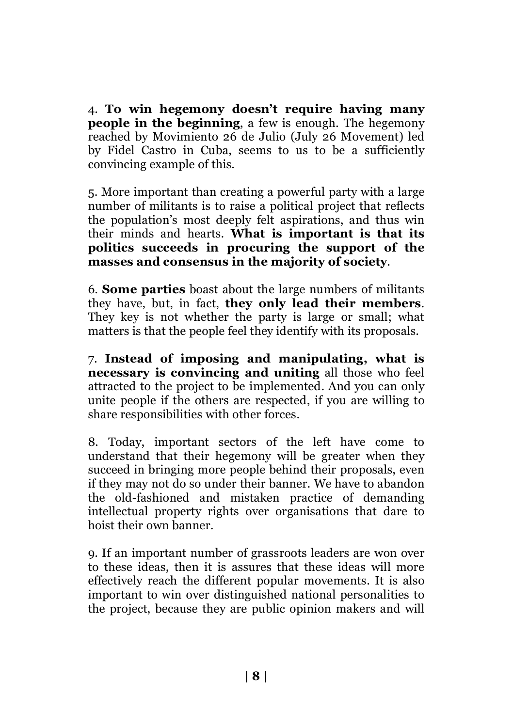4. **To win hegemony doesn't require having many people in the beginning**, a few is enough. The hegemony reached by Movimiento 26 de Julio (July 26 Movement) led by Fidel Castro in Cuba, seems to us to be a sufficiently convincing example of this.

5. More important than creating a powerful party with a large number of militants is to raise a political project that reflects the population's most deeply felt aspirations, and thus win their minds and hearts. **What is important is that its politics succeeds in procuring the support of the masses and consensus in the majority of society**.

6. **Some parties** boast about the large numbers of militants they have, but, in fact, **they only lead their members**. They key is not whether the party is large or small; what matters is that the people feel they identify with its proposals.

7. **Instead of imposing and manipulating, what is necessary is convincing and uniting** all those who feel attracted to the project to be implemented. And you can only unite people if the others are respected, if you are willing to share responsibilities with other forces.

8. Today, important sectors of the left have come to understand that their hegemony will be greater when they succeed in bringing more people behind their proposals, even if they may not do so under their banner. We have to abandon the old-fashioned and mistaken practice of demanding intellectual property rights over organisations that dare to hoist their own banner.

9. If an important number of grassroots leaders are won over to these ideas, then it is assures that these ideas will more effectively reach the different popular movements. It is also important to win over distinguished national personalities to the project, because they are public opinion makers and will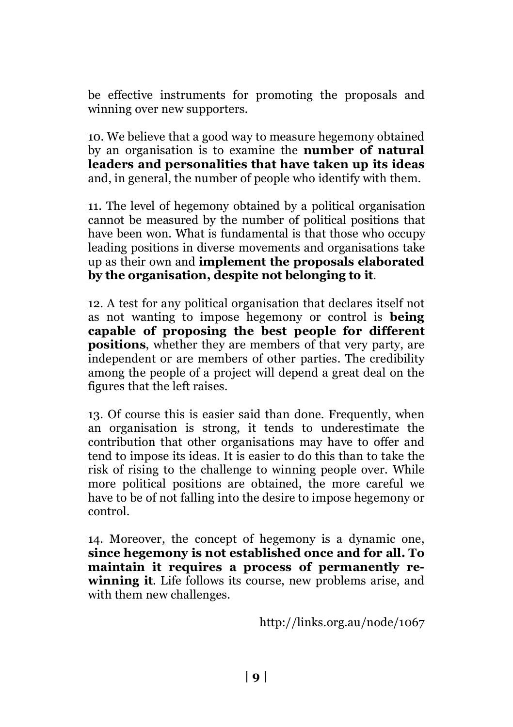be effective instruments for promoting the proposals and winning over new supporters.

10. We believe that a good way to measure hegemony obtained by an organisation is to examine the **number of natural leaders and personalities that have taken up its ideas** and, in general, the number of people who identify with them.

11. The level of hegemony obtained by a political organisation cannot be measured by the number of political positions that have been won. What is fundamental is that those who occupy leading positions in diverse movements and organisations take up as their own and **implement the proposals elaborated by the organisation, despite not belonging to it**.

12. A test for any political organisation that declares itself not as not wanting to impose hegemony or control is **being capable of proposing the best people for different positions**, whether they are members of that very party, are independent or are members of other parties. The credibility among the people of a project will depend a great deal on the figures that the left raises.

13. Of course this is easier said than done. Frequently, when an organisation is strong, it tends to underestimate the contribution that other organisations may have to offer and tend to impose its ideas. It is easier to do this than to take the risk of rising to the challenge to winning people over. While more political positions are obtained, the more careful we have to be of not falling into the desire to impose hegemony or control.

14. Moreover, the concept of hegemony is a dynamic one, **since hegemony is not established once and for all. To maintain it requires a process of permanently rewinning it**. Life follows its course, new problems arise, and with them new challenges.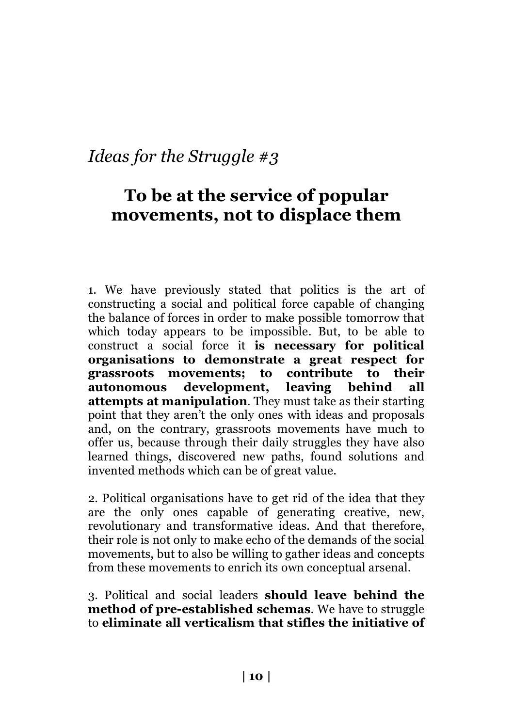#### **To be at the service of popular movements, not to displace them**

1. We have previously stated that politics is the art of constructing a social and political force capable of changing the balance of forces in order to make possible tomorrow that which today appears to be impossible. But, to be able to construct a social force it **is necessary for political organisations to demonstrate a great respect for grassroots movements; to contribute to their autonomous development, leaving behind all attempts at manipulation**. They must take as their starting point that they aren't the only ones with ideas and proposals and, on the contrary, grassroots movements have much to offer us, because through their daily struggles they have also learned things, discovered new paths, found solutions and invented methods which can be of great value.

2. Political organisations have to get rid of the idea that they are the only ones capable of generating creative, new, revolutionary and transformative ideas. And that therefore, their role is not only to make echo of the demands of the social movements, but to also be willing to gather ideas and concepts from these movements to enrich its own conceptual arsenal.

3. Political and social leaders **should leave behind the method of pre-established schemas**. We have to struggle to **eliminate all verticalism that stifles the initiative of**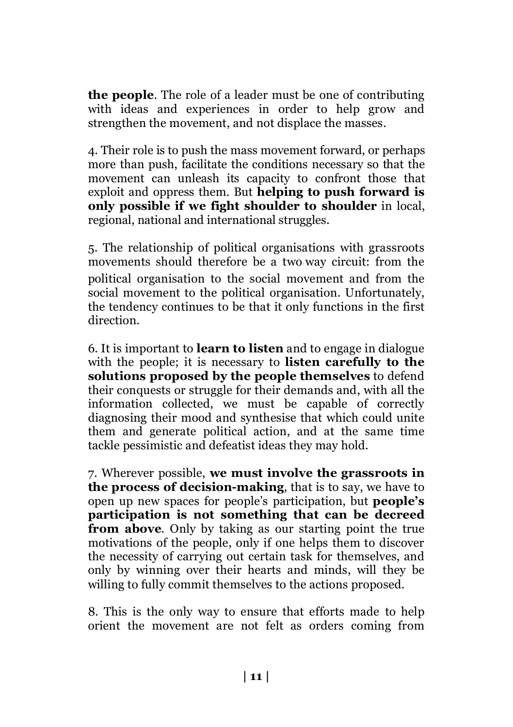**the people**. The role of a leader must be one of contributing with ideas and experiences in order to help grow and strengthen the movement, and not displace the masses.

4. Their role is to push the mass movement forward, or perhaps more than push, facilitate the conditions necessary so that the movement can unleash its capacity to confront those that exploit and oppress them. But **helping to push forward is only possible if we fight shoulder to shoulder** in local, regional, national and international struggles.

5. The relationship of political organisations with grassroots movements should therefore be a two‑way circuit: from the political organisation to the social movement and from the social movement to the political organisation. Unfortunately, the tendency continues to be that it only functions in the first direction.

6. It is important to **learn to listen** and to engage in dialogue with the people; it is necessary to **listen carefully to the solutions proposed by the people themselves** to defend their conquests or struggle for their demands and, with all the information collected, we must be capable of correctly diagnosing their mood and synthesise that which could unite them and generate political action, and at the same time tackle pessimistic and defeatist ideas they may hold.

7. Wherever possible, **we must involve the grassroots in the process of decision-making**, that is to say, we have to open up new spaces for people's participation, but **people's participation is not something that can be decreed from above**. Only by taking as our starting point the true motivations of the people, only if one helps them to discover the necessity of carrying out certain task for themselves, and only by winning over their hearts and minds, will they be willing to fully commit themselves to the actions proposed.

8. This is the only way to ensure that efforts made to help orient the movement are not felt as orders coming from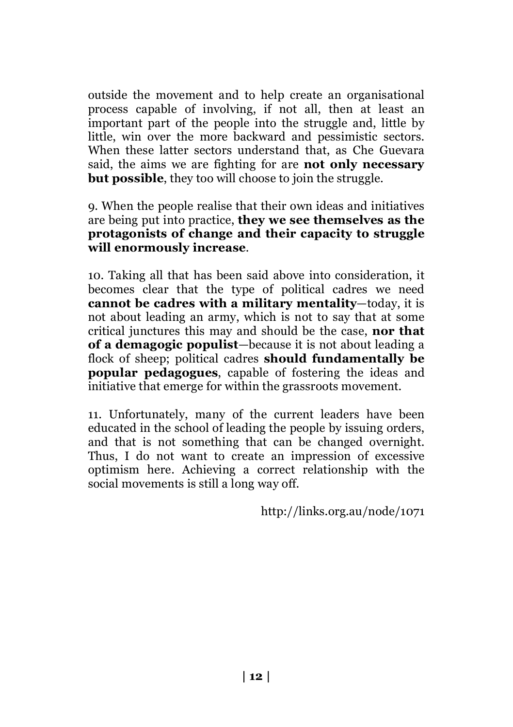outside the movement and to help create an organisational process capable of involving, if not all, then at least an important part of the people into the struggle and, little by little, win over the more backward and pessimistic sectors. When these latter sectors understand that, as Che Guevara said, the aims we are fighting for are **not only necessary but possible**, they too will choose to join the struggle.

9. When the people realise that their own ideas and initiatives are being put into practice, **they we see themselves as the protagonists of change and their capacity to struggle will enormously increase**.

10. Taking all that has been said above into consideration, it becomes clear that the type of political cadres we need **cannot be cadres with a military mentality**—today, it is not about leading an army, which is not to say that at some critical junctures this may and should be the case, **nor that of a demagogic populist**—because it is not about leading a flock of sheep; political cadres **should fundamentally be popular pedagogues**, capable of fostering the ideas and initiative that emerge for within the grassroots movement.

11. Unfortunately, many of the current leaders have been educated in the school of leading the people by issuing orders, and that is not something that can be changed overnight. Thus, I do not want to create an impression of excessive optimism here. Achieving a correct relationship with the social movements is still a long way off.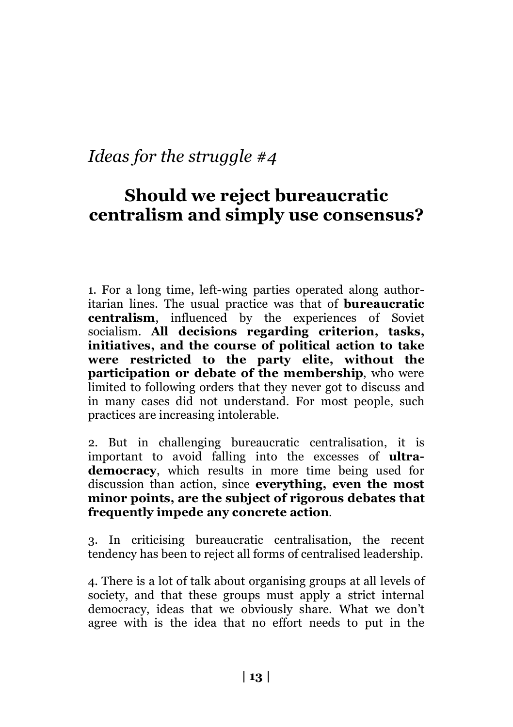## **Should we reject bureaucratic centralism and simply use consensus?**

1. For a long time, left-wing parties operated along authoritarian lines. The usual practice was that of **bureaucratic centralism**, influenced by the experiences of Soviet socialism. **All decisions regarding criterion, tasks, initiatives, and the course of political action to take were restricted to the party elite, without the participation or debate of the membership**, who were limited to following orders that they never got to discuss and in many cases did not understand. For most people, such practices are increasing intolerable.

2. But in challenging bureaucratic centralisation, it is important to avoid falling into the excesses of **ultrademocracy**, which results in more time being used for discussion than action, since **everything, even the most minor points, are the subject of rigorous debates that frequently impede any concrete action**.

3. In criticising bureaucratic centralisation, the recent tendency has been to reject all forms of centralised leadership.

4. There is a lot of talk about organising groups at all levels of society, and that these groups must apply a strict internal democracy, ideas that we obviously share. What we don't agree with is the idea that no effort needs to put in the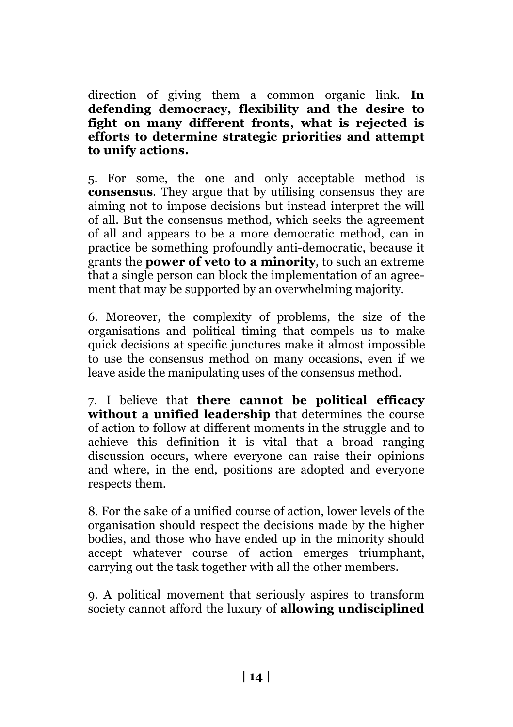direction of giving them a common organic link. **In defending democracy, flexibility and the desire to fight on many different fronts, what is rejected is efforts to determine strategic priorities and attempt to unify actions.**

5. For some, the one and only acceptable method is **consensus**. They argue that by utilising consensus they are aiming not to impose decisions but instead interpret the will of all. But the consensus method, which seeks the agreement of all and appears to be a more democratic method, can in practice be something profoundly anti-democratic, because it grants the **power of veto to a minority**, to such an extreme that a single person can block the implementation of an agreement that may be supported by an overwhelming majority.

6. Moreover, the complexity of problems, the size of the organisations and political timing that compels us to make quick decisions at specific junctures make it almost impossible to use the consensus method on many occasions, even if we leave aside the manipulating uses of the consensus method.

7. I believe that **there cannot be political efficacy without a unified leadership** that determines the course of action to follow at different moments in the struggle and to achieve this definition it is vital that a broad ranging discussion occurs, where everyone can raise their opinions and where, in the end, positions are adopted and everyone respects them.

8. For the sake of a unified course of action, lower levels of the organisation should respect the decisions made by the higher bodies, and those who have ended up in the minority should accept whatever course of action emerges triumphant, carrying out the task together with all the other members.

9. A political movement that seriously aspires to transform society cannot afford the luxury of **allowing undisciplined**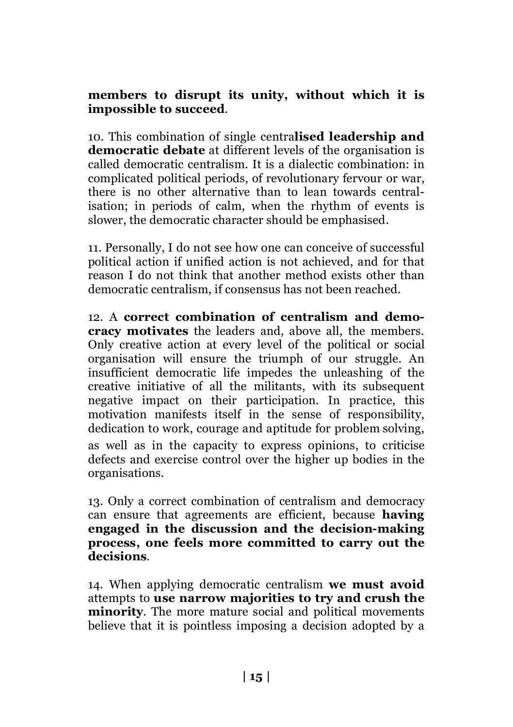#### **members to disrupt its unity, without which it is impossible to succeed**.

10. This combination of single centra**lised leadership and democratic debate** at different levels of the organisation is called democratic centralism. It is a dialectic combination: in complicated political periods, of revolutionary fervour or war, there is no other alternative than to lean towards centralisation; in periods of calm, when the rhythm of events is slower, the democratic character should be emphasised.

11. Personally, I do not see how one can conceive of successful political action if unified action is not achieved, and for that reason I do not think that another method exists other than democratic centralism, if consensus has not been reached.

12. A **correct combination of centralism and democracy motivates** the leaders and, above all, the members. Only creative action at every level of the political or social organisation will ensure the triumph of our struggle. An insufficient democratic life impedes the unleashing of the creative initiative of all the militants, with its subsequent negative impact on their participation. In practice, this motivation manifests itself in the sense of responsibility, dedication to work, courage and aptitude for problem solving. as well as in the capacity to express opinions, to criticise defects and exercise control over the higher up bodies in the organisations.

13. Only a correct combination of centralism and democracy can ensure that agreements are efficient, because **having engaged in the discussion and the decision-making process, one feels more committed to carry out the decisions**.

14. When applying democratic centralism **we must avoid** attempts to **use narrow majorities to try and crush the minority**. The more mature social and political movements believe that it is pointless imposing a decision adopted by a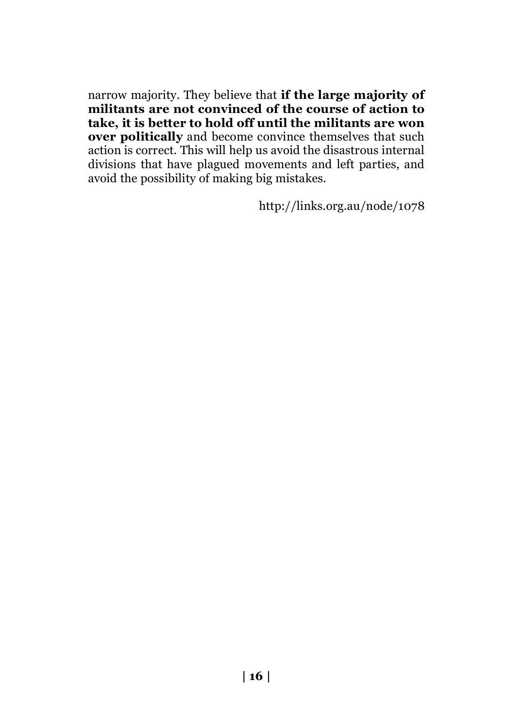narrow majority. They believe that **if the large majority of militants are not convinced of the course of action to take, it is better to hold off until the militants are won over politically** and become convince themselves that such action is correct. This will help us avoid the disastrous internal divisions that have plagued movements and left parties, and avoid the possibility of making big mistakes.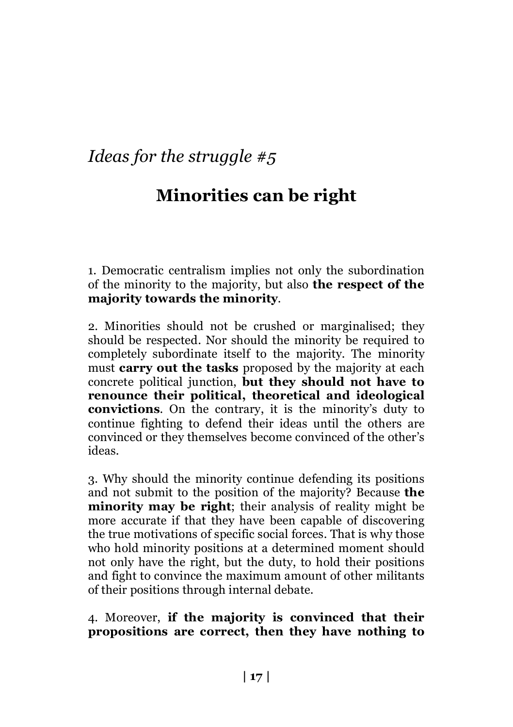# **Minorities can be right**

1. Democratic centralism implies not only the subordination of the minority to the majority, but also **the respect of the majority towards the minority**.

2. Minorities should not be crushed or marginalised; they should be respected. Nor should the minority be required to completely subordinate itself to the majority. The minority must **carry out the tasks** proposed by the majority at each concrete political junction, **but they should not have to renounce their political, theoretical and ideological convictions**. On the contrary, it is the minority's duty to continue fighting to defend their ideas until the others are convinced or they themselves become convinced of the other's ideas.

3. Why should the minority continue defending its positions and not submit to the position of the majority? Because **the minority may be right**; their analysis of reality might be more accurate if that they have been capable of discovering the true motivations of specific social forces. That is why those who hold minority positions at a determined moment should not only have the right, but the duty, to hold their positions and fight to convince the maximum amount of other militants of their positions through internal debate.

4. Moreover, **if the majority is convinced that their propositions are correct, then they have nothing to**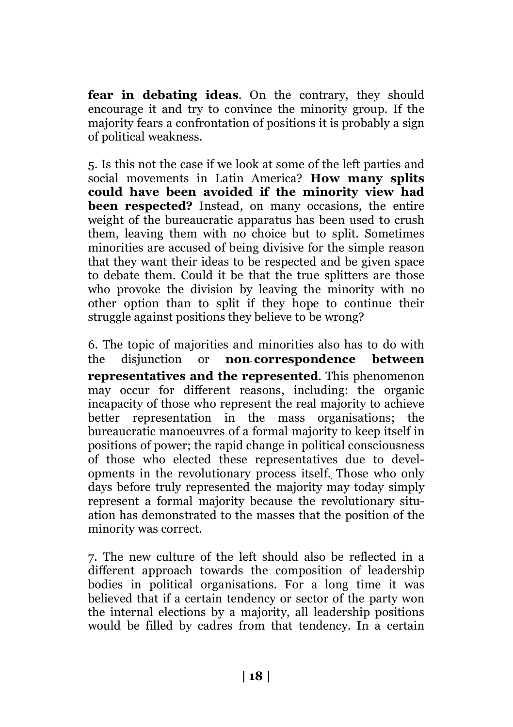**fear in debating ideas**. On the contrary, they should encourage it and try to convince the minority group. If the majority fears a confrontation of positions it is probably a sign of political weakness.

5. Is this not the case if we look at some of the left parties and social movements in Latin America? **How many splits could have been avoided if the minority view had been respected?** Instead, on many occasions, the entire weight of the bureaucratic apparatus has been used to crush them, leaving them with no choice but to split. Sometimes minorities are accused of being divisive for the simple reason that they want their ideas to be respected and be given space to debate them. Could it be that the true splitters are those who provoke the division by leaving the minority with no other option than to split if they hope to continue their struggle against positions they believe to be wrong?

6. The topic of majorities and minorities also has to do with the disjunction or **non**‑**correspondence between representatives and the represented**. This phenomenon may occur for different reasons, including: the organic incapacity of those who represent the real majority to achieve better representation in the mass organisations; the bureaucratic manoeuvres of a formal majority to keep itself in positions of power; the rapid change in political consciousness of those who elected these representatives due to developments in the revolutionary process itself. Those who only days before truly represented the majority may today simply represent a formal majority because the revolutionary situation has demonstrated to the masses that the position of the minority was correct.

7. The new culture of the left should also be reflected in a different approach towards the composition of leadership bodies in political organisations. For a long time it was believed that if a certain tendency or sector of the party won the internal elections by a majority, all leadership positions would be filled by cadres from that tendency. In a certain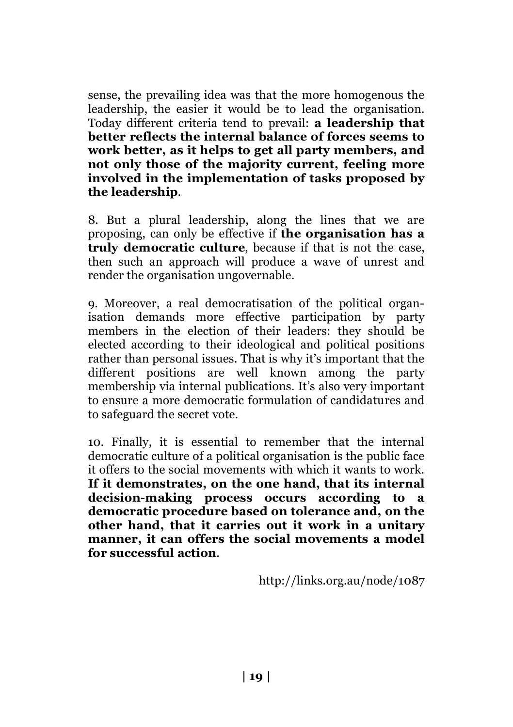sense, the prevailing idea was that the more homogenous the leadership, the easier it would be to lead the organisation. Today different criteria tend to prevail: **a leadership that better reflects the internal balance of forces seems to work better, as it helps to get all party members, and not only those of the majority current, feeling more involved in the implementation of tasks proposed by the leadership**.

8. But a plural leadership, along the lines that we are proposing, can only be effective if **the organisation has a truly democratic culture**, because if that is not the case, then such an approach will produce a wave of unrest and render the organisation ungovernable.

9. Moreover, a real democratisation of the political organisation demands more effective participation by party members in the election of their leaders: they should be elected according to their ideological and political positions rather than personal issues. That is why it's important that the different positions are well known among the party membership via internal publications. It's also very important to ensure a more democratic formulation of candidatures and to safeguard the secret vote.

10. Finally, it is essential to remember that the internal democratic culture of a political organisation is the public face it offers to the social movements with which it wants to work. **If it demonstrates, on the one hand, that its internal decision-making process occurs according to a democratic procedure based on tolerance and, on the other hand, that it carries out it work in a unitary manner, it can offers the social movements a model for successful action**.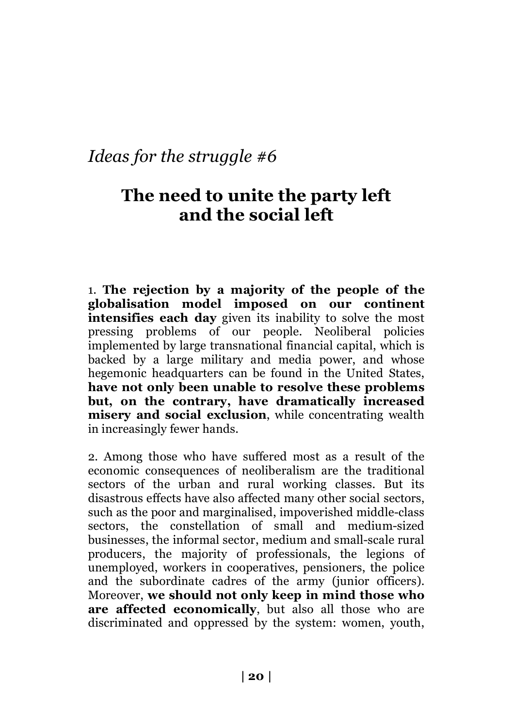## **The need to unite the party left and the social left**

1. **The rejection by a majority of the people of the globalisation model imposed on our continent intensifies each day** given its inability to solve the most pressing problems of our people. Neoliberal policies implemented by large transnational financial capital, which is backed by a large military and media power, and whose hegemonic headquarters can be found in the United States, **have not only been unable to resolve these problems but, on the contrary, have dramatically increased misery and social exclusion**, while concentrating wealth in increasingly fewer hands.

2. Among those who have suffered most as a result of the economic consequences of neoliberalism are the traditional sectors of the urban and rural working classes. But its disastrous effects have also affected many other social sectors, such as the poor and marginalised, impoverished middle-class sectors, the constellation of small and medium-sized businesses, the informal sector, medium and small-scale rural producers, the majority of professionals, the legions of unemployed, workers in cooperatives, pensioners, the police and the subordinate cadres of the army (junior officers). Moreover, **we should not only keep in mind those who are affected economically**, but also all those who are discriminated and oppressed by the system: women, youth,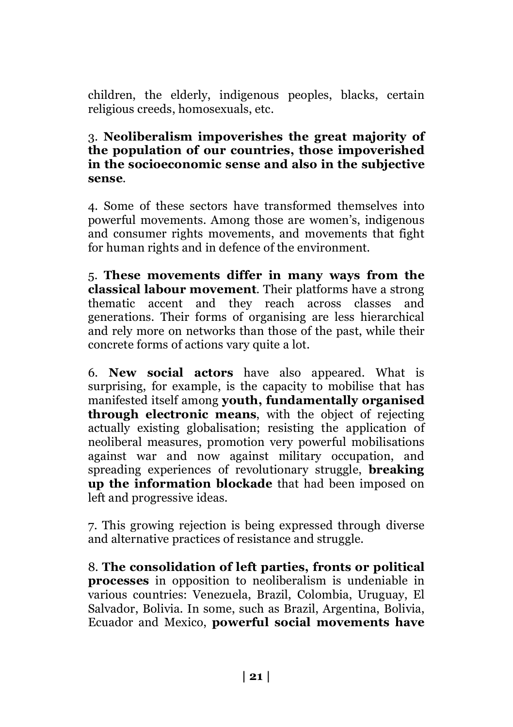children, the elderly, indigenous peoples, blacks, certain religious creeds, homosexuals, etc.

#### 3. **Neoliberalism impoverishes the great majority of the population of our countries, those impoverished in the socioeconomic sense and also in the subjective sense**.

4. Some of these sectors have transformed themselves into powerful movements. Among those are women's, indigenous and consumer rights movements, and movements that fight for human rights and in defence of the environment.

5. **These movements differ in many ways from the classical labour movement**. Their platforms have a strong thematic accent and they reach across classes and generations. Their forms of organising are less hierarchical and rely more on networks than those of the past, while their concrete forms of actions vary quite a lot.

6. **New social actors** have also appeared. What is surprising, for example, is the capacity to mobilise that has manifested itself among **youth, fundamentally organised through electronic means**, with the object of rejecting actually existing globalisation; resisting the application of neoliberal measures, promotion very powerful mobilisations against war and now against military occupation, and spreading experiences of revolutionary struggle, **breaking up the information blockade** that had been imposed on left and progressive ideas.

7. This growing rejection is being expressed through diverse and alternative practices of resistance and struggle.

8. **The consolidation of left parties, fronts or political processes** in opposition to neoliberalism is undeniable in various countries: Venezuela, Brazil, Colombia, Uruguay, El Salvador, Bolivia. In some, such as Brazil, Argentina, Bolivia, Ecuador and Mexico, **powerful social movements have**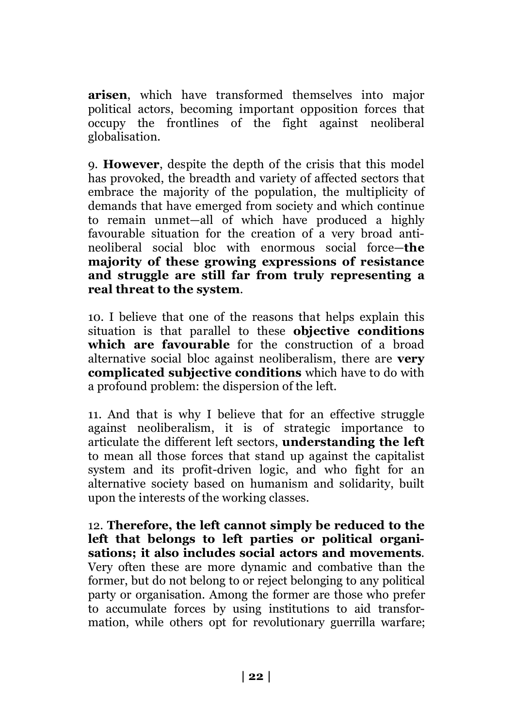**arisen**, which have transformed themselves into major political actors, becoming important opposition forces that occupy the frontlines of the fight against neoliberal globalisation.

9. **However**, despite the depth of the crisis that this model has provoked, the breadth and variety of affected sectors that embrace the majority of the population, the multiplicity of demands that have emerged from society and which continue to remain unmet—all of which have produced a highly favourable situation for the creation of a very broad antineoliberal social bloc with enormous social force—**the majority of these growing expressions of resistance and struggle are still far from truly representing a real threat to the system**.

10. I believe that one of the reasons that helps explain this situation is that parallel to these **objective conditions**  which are favourable for the construction of a broad alternative social bloc against neoliberalism, there are **very complicated subjective conditions** which have to do with a profound problem: the dispersion of the left.

11. And that is why I believe that for an effective struggle against neoliberalism, it is of strategic importance to articulate the different left sectors, **understanding the left** to mean all those forces that stand up against the capitalist system and its profit-driven logic, and who fight for an alternative society based on humanism and solidarity, built upon the interests of the working classes.

12. **Therefore, the left cannot simply be reduced to the left that belongs to left parties or political organisations; it also includes social actors and movements**. Very often these are more dynamic and combative than the former, but do not belong to or reject belonging to any political party or organisation. Among the former are those who prefer to accumulate forces by using institutions to aid transformation, while others opt for revolutionary guerrilla warfare;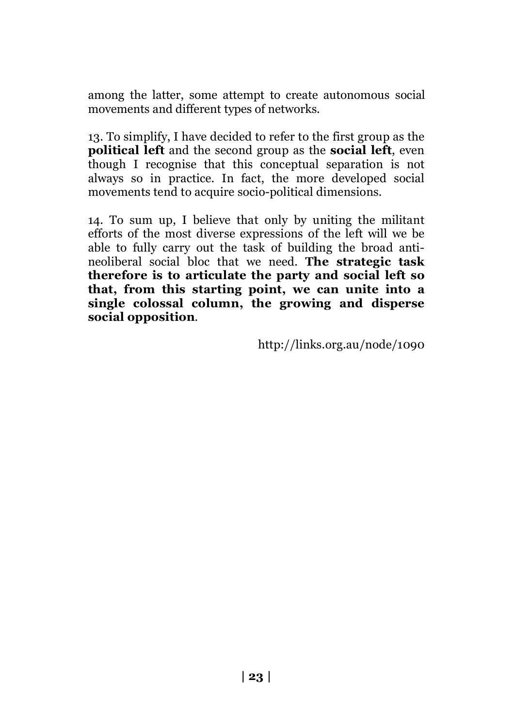among the latter, some attempt to create autonomous social movements and different types of networks.

13. To simplify, I have decided to refer to the first group as the **political left** and the second group as the **social left**, even though I recognise that this conceptual separation is not always so in practice. In fact, the more developed social movements tend to acquire socio-political dimensions.

14. To sum up, I believe that only by uniting the militant efforts of the most diverse expressions of the left will we be able to fully carry out the task of building the broad antineoliberal social bloc that we need. **The strategic task therefore is to articulate the party and social left so that, from this starting point, we can unite into a single colossal column, the growing and disperse social opposition**.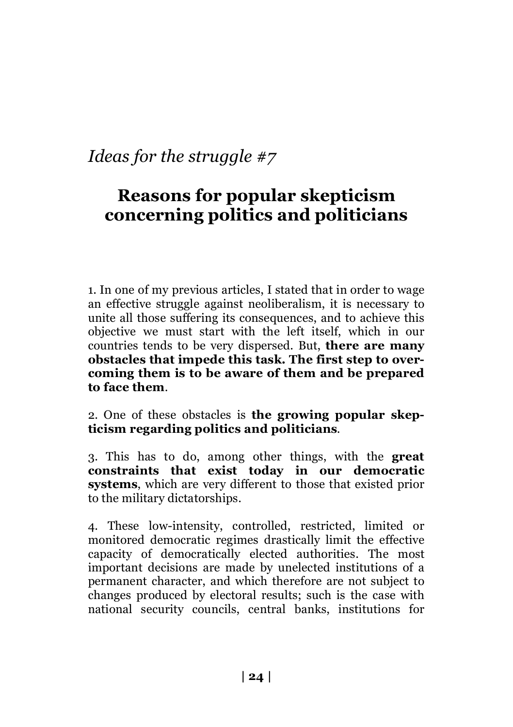# **Reasons for popular skepticism concerning politics and politicians**

1. In one of my previous articles, I stated that in order to wage an effective struggle against neoliberalism, it is necessary to unite all those suffering its consequences, and to achieve this objective we must start with the left itself, which in our countries tends to be very dispersed. But, **there are many obstacles that impede this task. The first step to overcoming them is to be aware of them and be prepared to face them**.

2. One of these obstacles is **the growing popular skepticism regarding politics and politicians**.

3. This has to do, among other things, with the **great constraints that exist today in our democratic systems**, which are very different to those that existed prior to the military dictatorships.

4. These low-intensity, controlled, restricted, limited or monitored democratic regimes drastically limit the effective capacity of democratically elected authorities. The most important decisions are made by unelected institutions of a permanent character, and which therefore are not subject to changes produced by electoral results; such is the case with national security councils, central banks, institutions for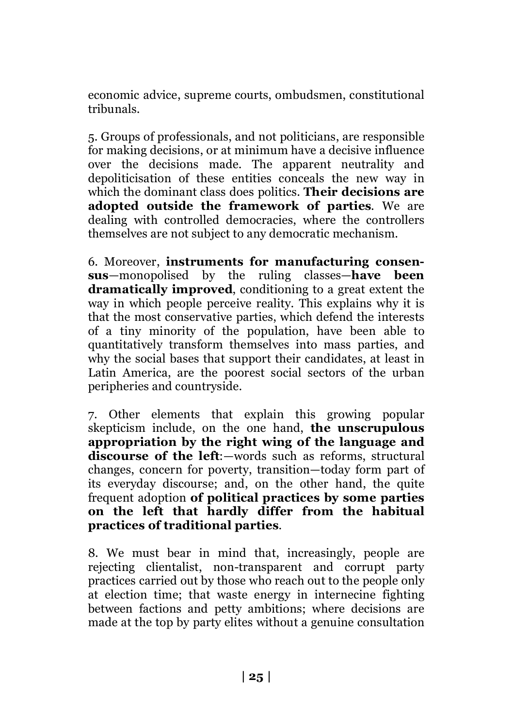economic advice, supreme courts, ombudsmen, constitutional tribunals.

5. Groups of professionals, and not politicians, are responsible for making decisions, or at minimum have a decisive influence over the decisions made. The apparent neutrality and depoliticisation of these entities conceals the new way in which the dominant class does politics. **Their decisions are adopted outside the framework of parties**. We are dealing with controlled democracies, where the controllers themselves are not subject to any democratic mechanism.

6. Moreover, **instruments for manufacturing consensus**—monopolised by the ruling classes—**have been dramatically improved**, conditioning to a great extent the way in which people perceive reality. This explains why it is that the most conservative parties, which defend the interests of a tiny minority of the population, have been able to quantitatively transform themselves into mass parties, and why the social bases that support their candidates, at least in Latin America, are the poorest social sectors of the urban peripheries and countryside.

7. Other elements that explain this growing popular skepticism include, on the one hand, **the unscrupulous appropriation by the right wing of the language and discourse of the left**:—words such as reforms, structural changes, concern for poverty, transition—today form part of its everyday discourse; and, on the other hand, the quite frequent adoption **of political practices by some parties on the left that hardly differ from the habitual practices of traditional parties**.

8. We must bear in mind that, increasingly, people are rejecting clientalist, non-transparent and corrupt party practices carried out by those who reach out to the people only at election time; that waste energy in internecine fighting between factions and petty ambitions; where decisions are made at the top by party elites without a genuine consultation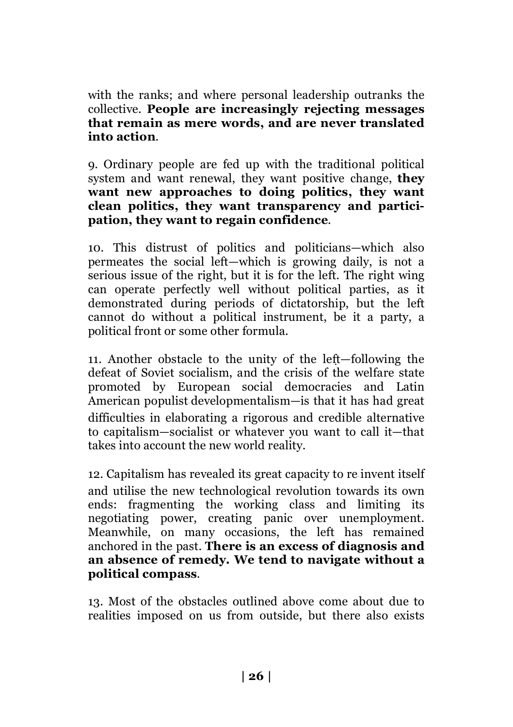with the ranks; and where personal leadership outranks the collective. **People are increasingly rejecting messages that remain as mere words, and are never translated into action**.

9. Ordinary people are fed up with the traditional political system and want renewal, they want positive change, **they want new approaches to doing politics, they want clean politics, they want transparency and participation, they want to regain confidence**.

10. This distrust of politics and politicians—which also permeates the social left—which is growing daily, is not a serious issue of the right, but it is for the left. The right wing can operate perfectly well without political parties, as it demonstrated during periods of dictatorship, but the left cannot do without a political instrument, be it a party, a political front or some other formula.

11. Another obstacle to the unity of the left—following the defeat of Soviet socialism, and the crisis of the welfare state promoted by European social democracies and Latin American populist developmentalism—is that it has had great difficulties in elaborating a rigorous and credible alternative to capitalism—socialist or whatever you want to call it—that takes into account the new world reality.

12. Capitalism has revealed its great capacity to re‑invent itself and utilise the new technological revolution towards its own ends: fragmenting the working class and limiting its negotiating power, creating panic over unemployment. Meanwhile, on many occasions, the left has remained anchored in the past. **There is an excess of diagnosis and an absence of remedy. We tend to navigate without a political compass**.

13. Most of the obstacles outlined above come about due to realities imposed on us from outside, but there also exists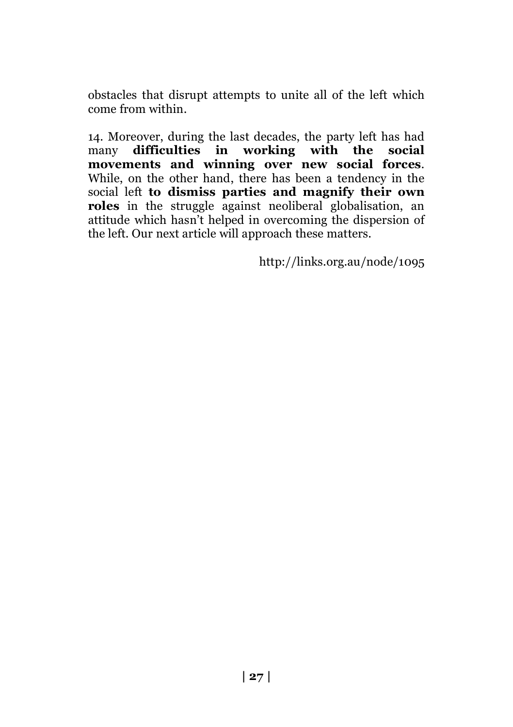obstacles that disrupt attempts to unite all of the left which come from within.

14. Moreover, during the last decades, the party left has had<br>many **difficulties** in working with the social many **difficulties** in working with the **movements and winning over new social forces**. While, on the other hand, there has been a tendency in the social left **to dismiss parties and magnify their own roles** in the struggle against neoliberal globalisation, an attitude which hasn't helped in overcoming the dispersion of the left. Our next article will approach these matters.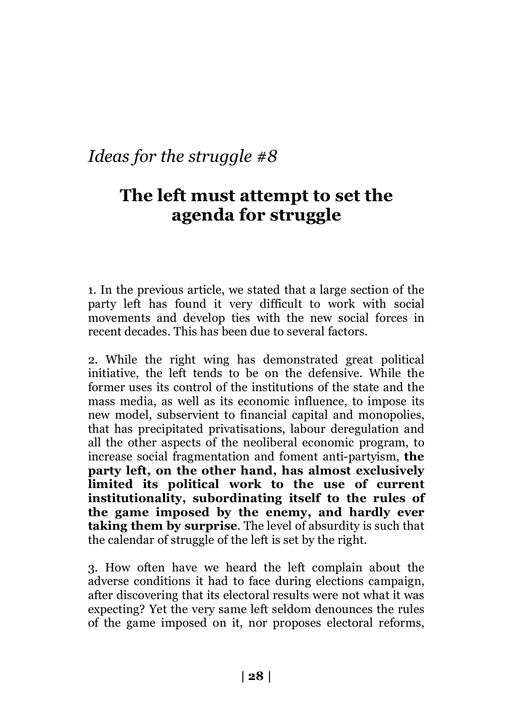## **The left must attempt to set the agenda for struggle**

1. In the previous article, we stated that a large section of the party left has found it very difficult to work with social movements and develop ties with the new social forces in recent decades. This has been due to several factors.

2. While the right wing has demonstrated great political initiative, the left tends to be on the defensive. While the former uses its control of the institutions of the state and the mass media, as well as its economic influence, to impose its new model, subservient to financial capital and monopolies, that has precipitated privatisations, labour deregulation and all the other aspects of the neoliberal economic program, to increase social fragmentation and foment anti-partyism, **the party left, on the other hand, has almost exclusively limited its political work to the use of current institutionality, subordinating itself to the rules of the game imposed by the enemy, and hardly ever taking them by surprise**. The level of absurdity is such that the calendar of struggle of the left is set by the right.

3. How often have we heard the left complain about the adverse conditions it had to face during elections campaign, after discovering that its electoral results were not what it was expecting? Yet the very same left seldom denounces the rules of the game imposed on it, nor proposes electoral reforms,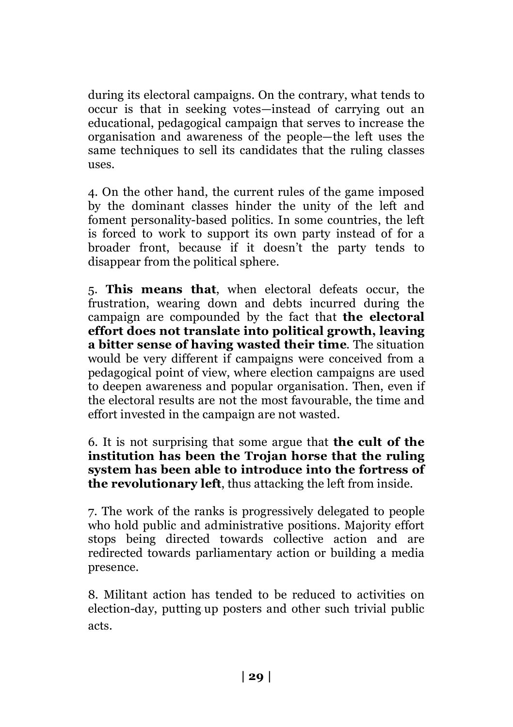during its electoral campaigns. On the contrary, what tends to occur is that in seeking votes—instead of carrying out an educational, pedagogical campaign that serves to increase the organisation and awareness of the people—the left uses the same techniques to sell its candidates that the ruling classes uses.

4. On the other hand, the current rules of the game imposed by the dominant classes hinder the unity of the left and foment personality-based politics. In some countries, the left is forced to work to support its own party instead of for a broader front, because if it doesn't the party tends to disappear from the political sphere.

5. **This means that**, when electoral defeats occur, the frustration, wearing down and debts incurred during the campaign are compounded by the fact that **the electoral effort does not translate into political growth, leaving a bitter sense of having wasted their time**. The situation would be very different if campaigns were conceived from a pedagogical point of view, where election campaigns are used to deepen awareness and popular organisation. Then, even if the electoral results are not the most favourable, the time and effort invested in the campaign are not wasted.

6. It is not surprising that some argue that **the cult of the institution has been the Trojan horse that the ruling system has been able to introduce into the fortress of the revolutionary left**, thus attacking the left from inside.

7. The work of the ranks is progressively delegated to people who hold public and administrative positions. Majority effort stops being directed towards collective action and are redirected towards parliamentary action or building a media presence.

8. Militant action has tended to be reduced to activities on election-day, putting‑up posters and other such trivial public acts.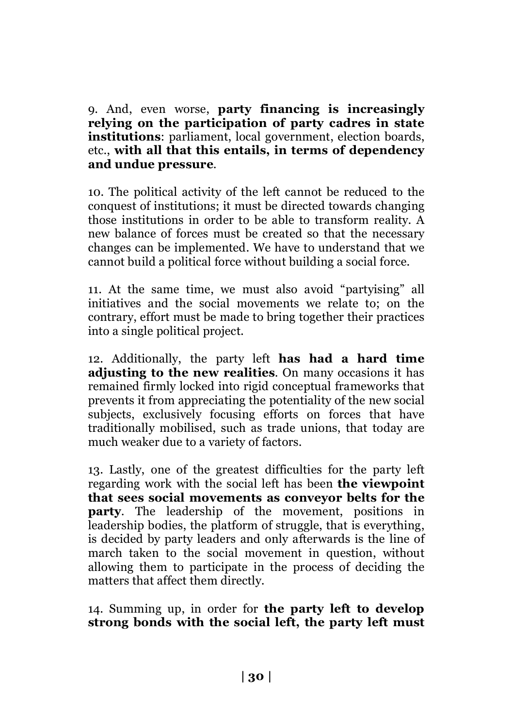9. And, even worse, **party financing is increasingly relying on the participation of party cadres in state institutions**: parliament, local government, election boards, etc., **with all that this entails, in terms of dependency and undue pressure**.

10. The political activity of the left cannot be reduced to the conquest of institutions; it must be directed towards changing those institutions in order to be able to transform reality. A new balance of forces must be created so that the necessary changes can be implemented. We have to understand that we cannot build a political force without building a social force.

11. At the same time, we must also avoid "partyising" all initiatives and the social movements we relate to; on the contrary, effort must be made to bring together their practices into a single political project.

12. Additionally, the party left **has had a hard time adjusting to the new realities**. On many occasions it has remained firmly locked into rigid conceptual frameworks that prevents it from appreciating the potentiality of the new social subjects, exclusively focusing efforts on forces that have traditionally mobilised, such as trade unions, that today are much weaker due to a variety of factors.

13. Lastly, one of the greatest difficulties for the party left regarding work with the social left has been **the viewpoint that sees social movements as conveyor belts for the party**. The leadership of the movement, positions in leadership bodies, the platform of struggle, that is everything, is decided by party leaders and only afterwards is the line of march taken to the social movement in question, without allowing them to participate in the process of deciding the matters that affect them directly.

14. Summing up, in order for **the party left to develop strong bonds with the social left, the party left must**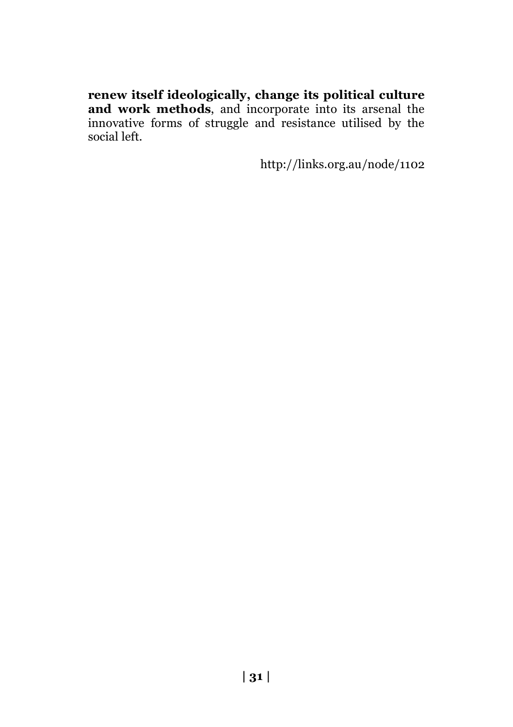**renew itself ideologically, change its political culture and work methods**, and incorporate into its arsenal the innovative forms of struggle and resistance utilised by the social left.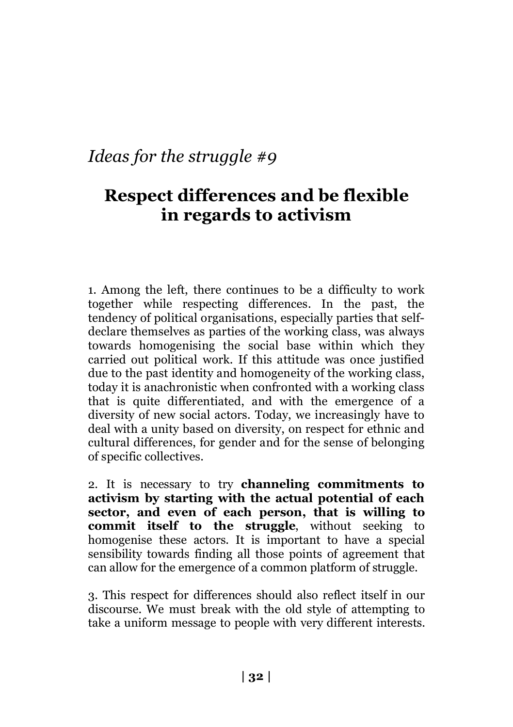## **Respect differences and be flexible in regards to activism**

1. Among the left, there continues to be a difficulty to work together while respecting differences. In the past, the tendency of political organisations, especially parties that selfdeclare themselves as parties of the working class, was always towards homogenising the social base within which they carried out political work. If this attitude was once justified due to the past identity and homogeneity of the working class, today it is anachronistic when confronted with a working class that is quite differentiated, and with the emergence of a diversity of new social actors. Today, we increasingly have to deal with a unity based on diversity, on respect for ethnic and cultural differences, for gender and for the sense of belonging of specific collectives.

2. It is necessary to try **channeling commitments to activism by starting with the actual potential of each sector, and even of each person, that is willing to commit itself to the struggle**, without seeking to homogenise these actors. It is important to have a special sensibility towards finding all those points of agreement that can allow for the emergence of a common platform of struggle.

3. This respect for differences should also reflect itself in our discourse. We must break with the old style of attempting to take a uniform message to people with very different interests.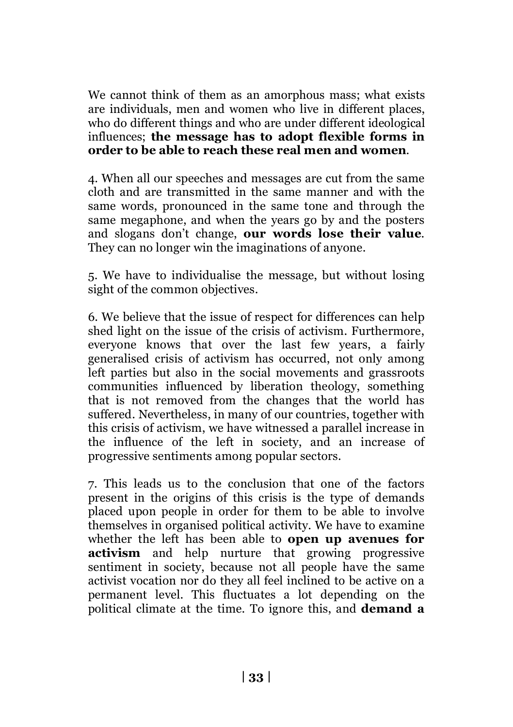We cannot think of them as an amorphous mass; what exists are individuals, men and women who live in different places, who do different things and who are under different ideological influences; **the message has to adopt flexible forms in order to be able to reach these real men and women**.

4. When all our speeches and messages are cut from the same cloth and are transmitted in the same manner and with the same words, pronounced in the same tone and through the same megaphone, and when the years go by and the posters and slogans don't change, **our words lose their value**. They can no longer win the imaginations of anyone.

5. We have to individualise the message, but without losing sight of the common objectives.

6. We believe that the issue of respect for differences can help shed light on the issue of the crisis of activism. Furthermore, everyone knows that over the last few years, a fairly generalised crisis of activism has occurred, not only among left parties but also in the social movements and grassroots communities influenced by liberation theology, something that is not removed from the changes that the world has suffered. Nevertheless, in many of our countries, together with this crisis of activism, we have witnessed a parallel increase in the influence of the left in society, and an increase of progressive sentiments among popular sectors.

7. This leads us to the conclusion that one of the factors present in the origins of this crisis is the type of demands placed upon people in order for them to be able to involve themselves in organised political activity. We have to examine whether the left has been able to **open up avenues for activism** and help nurture that growing progressive sentiment in society, because not all people have the same activist vocation nor do they all feel inclined to be active on a permanent level. This fluctuates a lot depending on the political climate at the time. To ignore this, and **demand a**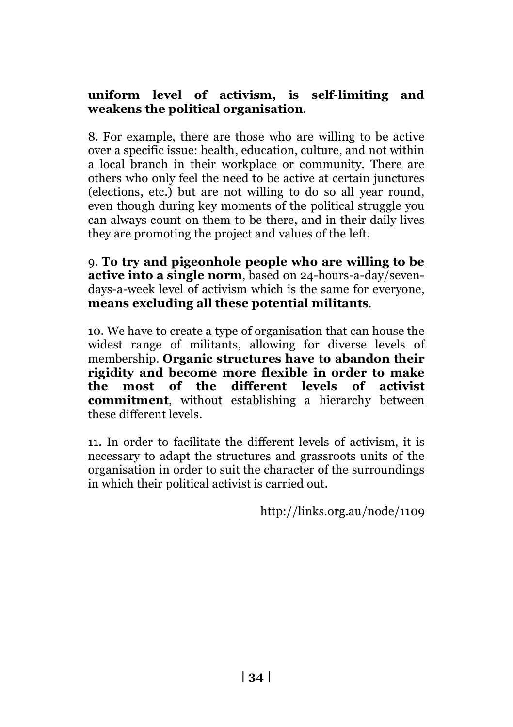#### **uniform level of activism, is self-limiting and weakens the political organisation**.

8. For example, there are those who are willing to be active over a specific issue: health, education, culture, and not within a local branch in their workplace or community. There are others who only feel the need to be active at certain junctures (elections, etc.) but are not willing to do so all year round, even though during key moments of the political struggle you can always count on them to be there, and in their daily lives they are promoting the project and values of the left.

9. **To try and pigeonhole people who are willing to be active into a single norm**, based on 24-hours-a-day/sevendays-a-week level of activism which is the same for everyone, **means excluding all these potential militants**.

10. We have to create a type of organisation that can house the widest range of militants, allowing for diverse levels of membership. **Organic structures have to abandon their rigidity and become more flexible in order to make the most of the different levels of activist commitment**, without establishing a hierarchy between these different levels.

11. In order to facilitate the different levels of activism, it is necessary to adapt the structures and grassroots units of the organisation in order to suit the character of the surroundings in which their political activist is carried out.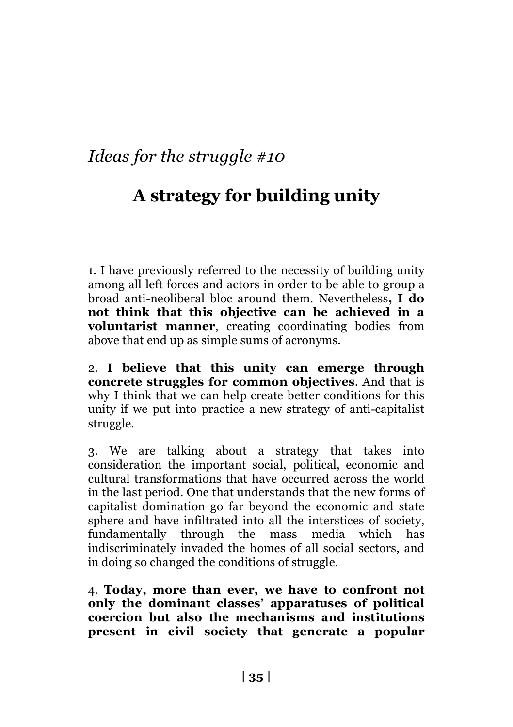# **A strategy for building unity**

1. I have previously referred to the necessity of building unity among all left forces and actors in order to be able to group a broad anti-neoliberal bloc around them. Nevertheless**, I do not think that this objective can be achieved in a voluntarist manner**, creating coordinating bodies from above that end up as simple sums of acronyms.

2. **I believe that this unity can emerge through concrete struggles for common objectives**. And that is why I think that we can help create better conditions for this unity if we put into practice a new strategy of anti-capitalist struggle.

3. We are talking about a strategy that takes into consideration the important social, political, economic and cultural transformations that have occurred across the world in the last period. One that understands that the new forms of capitalist domination go far beyond the economic and state sphere and have infiltrated into all the interstices of society, fundamentally through the mass media which has indiscriminately invaded the homes of all social sectors, and in doing so changed the conditions of struggle.

4. **Today, more than ever, we have to confront not only the dominant classes' apparatuses of political coercion but also the mechanisms and institutions present in civil society that generate a popular**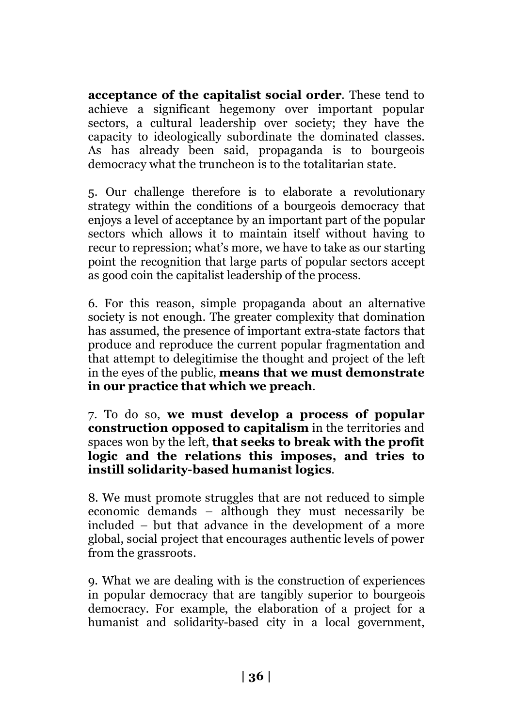**acceptance of the capitalist social order**. These tend to achieve a significant hegemony over important popular sectors, a cultural leadership over society; they have the capacity to ideologically subordinate the dominated classes. As has already been said, propaganda is to bourgeois democracy what the truncheon is to the totalitarian state.

5. Our challenge therefore is to elaborate a revolutionary strategy within the conditions of a bourgeois democracy that enjoys a level of acceptance by an important part of the popular sectors which allows it to maintain itself without having to recur to repression; what's more, we have to take as our starting point the recognition that large parts of popular sectors accept as good coin the capitalist leadership of the process.

6. For this reason, simple propaganda about an alternative society is not enough. The greater complexity that domination has assumed, the presence of important extra-state factors that produce and reproduce the current popular fragmentation and that attempt to delegitimise the thought and project of the left in the eyes of the public, **means that we must demonstrate in our practice that which we preach**.

7. To do so, **we must develop a process of popular construction opposed to capitalism** in the territories and spaces won by the left, **that seeks to break with the profit logic and the relations this imposes, and tries to instill solidarity-based humanist logics**.

8. We must promote struggles that are not reduced to simple economic demands – although they must necessarily be included – but that advance in the development of a more global, social project that encourages authentic levels of power from the grassroots.

9. What we are dealing with is the construction of experiences in popular democracy that are tangibly superior to bourgeois democracy. For example, the elaboration of a project for a humanist and solidarity-based city in a local government,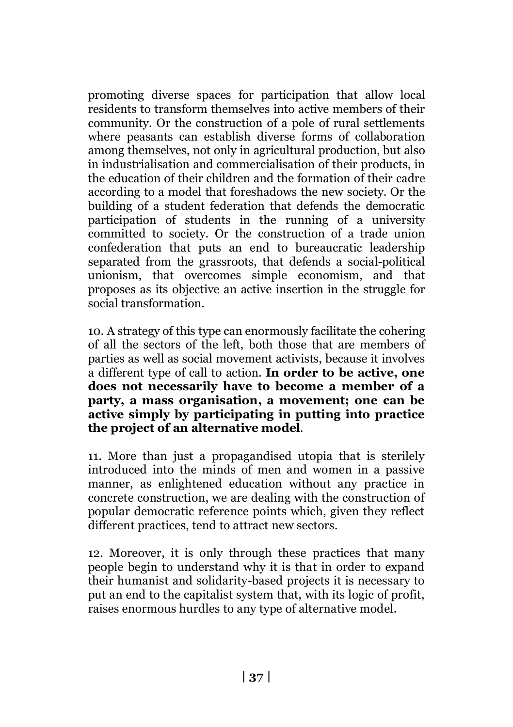promoting diverse spaces for participation that allow local residents to transform themselves into active members of their community. Or the construction of a pole of rural settlements where peasants can establish diverse forms of collaboration among themselves, not only in agricultural production, but also in industrialisation and commercialisation of their products, in the education of their children and the formation of their cadre according to a model that foreshadows the new society. Or the building of a student federation that defends the democratic participation of students in the running of a university committed to society. Or the construction of a trade union confederation that puts an end to bureaucratic leadership separated from the grassroots, that defends a social-political unionism, that overcomes simple economism, and that proposes as its objective an active insertion in the struggle for social transformation.

10. A strategy of this type can enormously facilitate the cohering of all the sectors of the left, both those that are members of parties as well as social movement activists, because it involves a different type of call to action. **In order to be active, one does not necessarily have to become a member of a party, a mass organisation, a movement; one can be active simply by participating in putting into practice the project of an alternative model**.

11. More than just a propagandised utopia that is sterilely introduced into the minds of men and women in a passive manner, as enlightened education without any practice in concrete construction, we are dealing with the construction of popular democratic reference points which, given they reflect different practices, tend to attract new sectors.

12. Moreover, it is only through these practices that many people begin to understand why it is that in order to expand their humanist and solidarity-based projects it is necessary to put an end to the capitalist system that, with its logic of profit, raises enormous hurdles to any type of alternative model.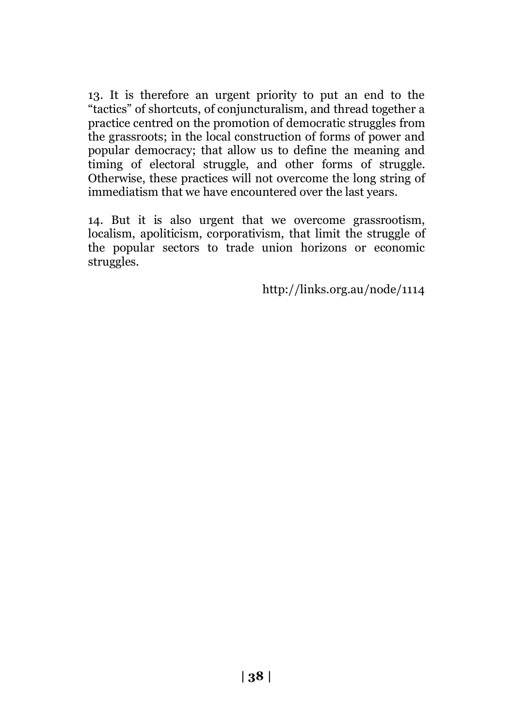13. It is therefore an urgent priority to put an end to the "tactics" of shortcuts, of conjuncturalism, and thread together a practice centred on the promotion of democratic struggles from the grassroots; in the local construction of forms of power and popular democracy; that allow us to define the meaning and timing of electoral struggle, and other forms of struggle. Otherwise, these practices will not overcome the long string of immediatism that we have encountered over the last years.

14. But it is also urgent that we overcome grassrootism, localism, apoliticism, corporativism, that limit the struggle of the popular sectors to trade union horizons or economic struggles.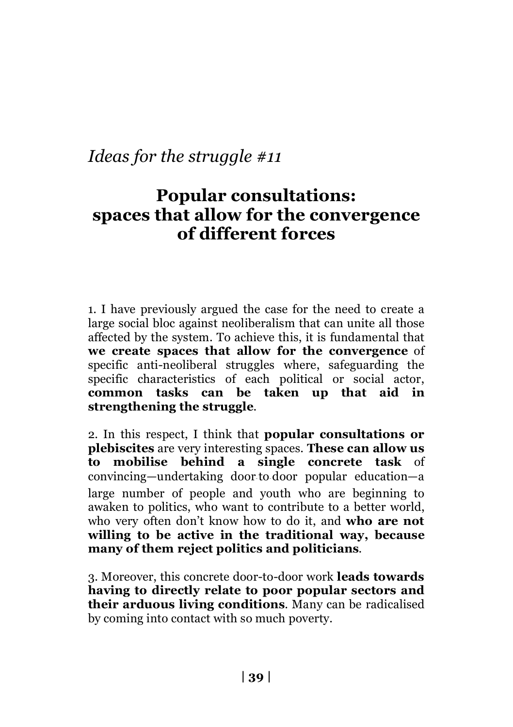# **Popular consultations: spaces that allow for the convergence of different forces**

1. I have previously argued the case for the need to create a large social bloc against neoliberalism that can unite all those affected by the system. To achieve this, it is fundamental that **we create spaces that allow for the convergence** of specific anti-neoliberal struggles where, safeguarding the specific characteristics of each political or social actor, **common tasks can be taken up that aid in strengthening the struggle**.

2. In this respect, I think that **popular consultations or plebiscites** are very interesting spaces. **These can allow us to mobilise behind a single concrete task** of convincing—undertaking door‑to‑door popular education—a large number of people and youth who are beginning to awaken to politics, who want to contribute to a better world, who very often don't know how to do it, and **who are not willing to be active in the traditional way, because many of them reject politics and politicians**.

3. Moreover, this concrete door-to-door work **leads towards having to directly relate to poor popular sectors and their arduous living conditions**. Many can be radicalised by coming into contact with so much poverty.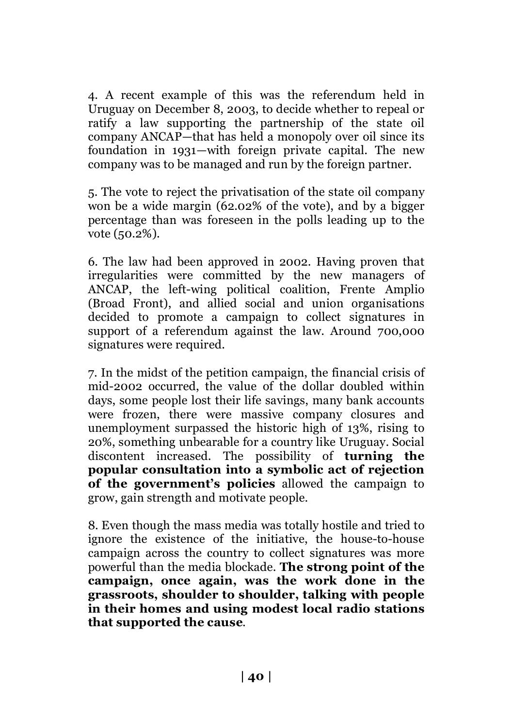4. A recent example of this was the referendum held in Uruguay on December 8, 2003, to decide whether to repeal or ratify a law supporting the partnership of the state oil company ANCAP—that has held a monopoly over oil since its foundation in 1931—with foreign private capital. The new company was to be managed and run by the foreign partner.

5. The vote to reject the privatisation of the state oil company won be a wide margin (62.02% of the vote), and by a bigger percentage than was foreseen in the polls leading up to the vote (50.2%).

6. The law had been approved in 2002. Having proven that irregularities were committed by the new managers of ANCAP, the left-wing political coalition, Frente Amplio (Broad Front), and allied social and union organisations decided to promote a campaign to collect signatures in support of a referendum against the law. Around 700,000 signatures were required.

7. In the midst of the petition campaign, the financial crisis of mid-2002 occurred, the value of the dollar doubled within days, some people lost their life savings, many bank accounts were frozen, there were massive company closures and unemployment surpassed the historic high of 13%, rising to 20%, something unbearable for a country like Uruguay. Social discontent increased. The possibility of **turning the popular consultation into a symbolic act of rejection of the government's policies** allowed the campaign to grow, gain strength and motivate people.

8. Even though the mass media was totally hostile and tried to ignore the existence of the initiative, the house-to-house campaign across the country to collect signatures was more powerful than the media blockade. **The strong point of the campaign, once again, was the work done in the grassroots, shoulder to shoulder, talking with people in their homes and using modest local radio stations that supported the cause**.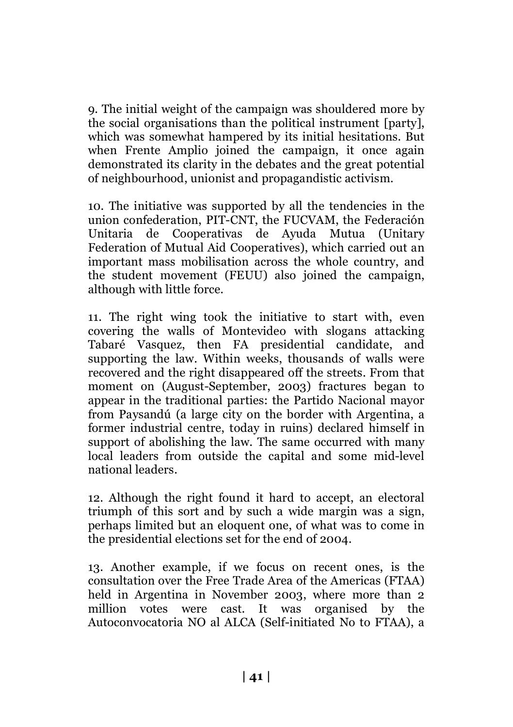9. The initial weight of the campaign was shouldered more by the social organisations than the political instrument [party], which was somewhat hampered by its initial hesitations. But when Frente Amplio joined the campaign, it once again demonstrated its clarity in the debates and the great potential of neighbourhood, unionist and propagandistic activism.

10. The initiative was supported by all the tendencies in the union confederation, PIT-CNT, the FUCVAM, the Federación Unitaria de Cooperativas de Ayuda Mutua (Unitary Federation of Mutual Aid Cooperatives), which carried out an important mass mobilisation across the whole country, and the student movement (FEUU) also joined the campaign, although with little force.

11. The right wing took the initiative to start with, even covering the walls of Montevideo with slogans attacking Tabaré Vasquez, then FA presidential candidate, and supporting the law. Within weeks, thousands of walls were recovered and the right disappeared off the streets. From that moment on (August-September, 2003) fractures began to appear in the traditional parties: the Partido Nacional mayor from Paysandú (a large city on the border with Argentina, a former industrial centre, today in ruins) declared himself in support of abolishing the law. The same occurred with many local leaders from outside the capital and some mid-level national leaders.

12. Although the right found it hard to accept, an electoral triumph of this sort and by such a wide margin was a sign, perhaps limited but an eloquent one, of what was to come in the presidential elections set for the end of 2004.

13. Another example, if we focus on recent ones, is the consultation over the Free Trade Area of the Americas (FTAA) held in Argentina in November 2003, where more than 2 million votes were cast. It was organised by the Autoconvocatoria NO al ALCA (Self-initiated No to FTAA), a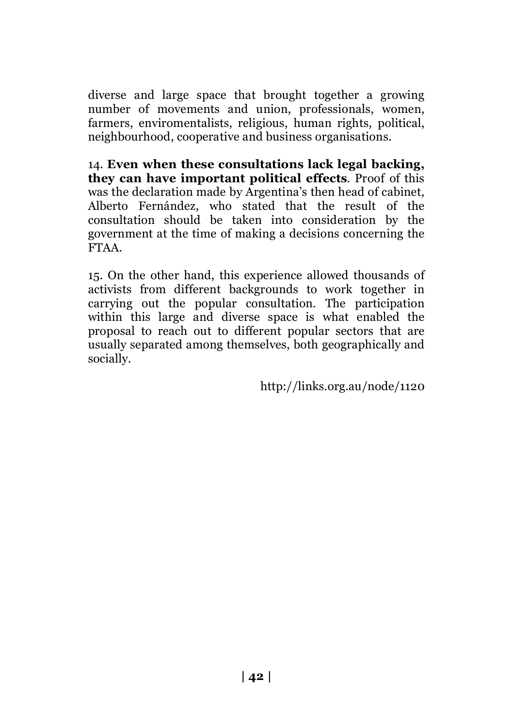diverse and large space that brought together a growing number of movements and union, professionals, women, farmers, enviromentalists, religious, human rights, political, neighbourhood, cooperative and business organisations.

14. **Even when these consultations lack legal backing, they can have important political effects**. Proof of this was the declaration made by Argentina's then head of cabinet, Alberto Fernández, who stated that the result of the consultation should be taken into consideration by the government at the time of making a decisions concerning the FTAA.

15. On the other hand, this experience allowed thousands of activists from different backgrounds to work together in carrying out the popular consultation. The participation within this large and diverse space is what enabled the proposal to reach out to different popular sectors that are usually separated among themselves, both geographically and socially.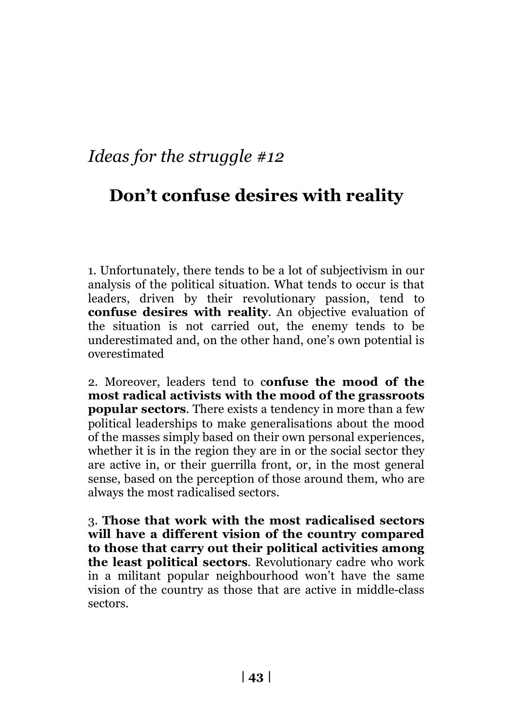# **Don't confuse desires with reality**

1. Unfortunately, there tends to be a lot of subjectivism in our analysis of the political situation. What tends to occur is that leaders, driven by their revolutionary passion, tend to **confuse desires with reality**. An objective evaluation of the situation is not carried out, the enemy tends to be underestimated and, on the other hand, one's own potential is overestimated

2. Moreover, leaders tend to c**onfuse the mood of the most radical activists with the mood of the grassroots popular sectors**. There exists a tendency in more than a few political leaderships to make generalisations about the mood of the masses simply based on their own personal experiences, whether it is in the region they are in or the social sector they are active in, or their guerrilla front, or, in the most general sense, based on the perception of those around them, who are always the most radicalised sectors.

3. **Those that work with the most radicalised sectors will have a different vision of the country compared to those that carry out their political activities among the least political sectors**. Revolutionary cadre who work in a militant popular neighbourhood won't have the same vision of the country as those that are active in middle-class sectors.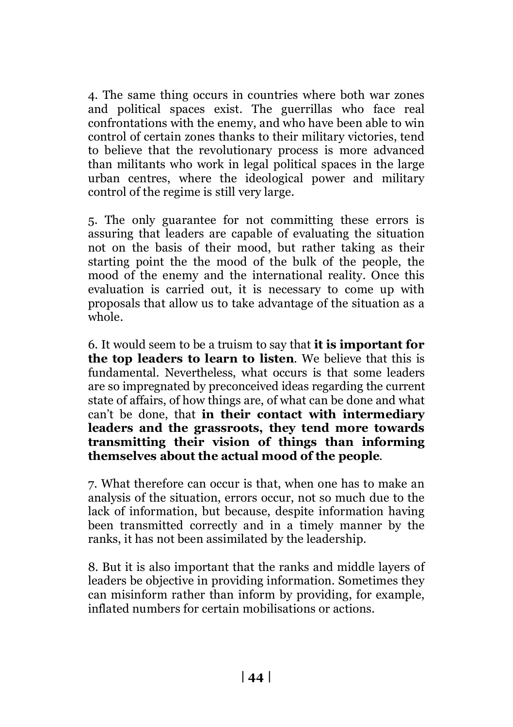4. The same thing occurs in countries where both war zones and political spaces exist. The guerrillas who face real confrontations with the enemy, and who have been able to win control of certain zones thanks to their military victories, tend to believe that the revolutionary process is more advanced than militants who work in legal political spaces in the large urban centres, where the ideological power and military control of the regime is still very large.

5. The only guarantee for not committing these errors is assuring that leaders are capable of evaluating the situation not on the basis of their mood, but rather taking as their starting point the the mood of the bulk of the people, the mood of the enemy and the international reality. Once this evaluation is carried out, it is necessary to come up with proposals that allow us to take advantage of the situation as a whole.

6. It would seem to be a truism to say that **it is important for the top leaders to learn to listen**. We believe that this is fundamental. Nevertheless, what occurs is that some leaders are so impregnated by preconceived ideas regarding the current state of affairs, of how things are, of what can be done and what can't be done, that **in their contact with intermediary leaders and the grassroots, they tend more towards transmitting their vision of things than informing themselves about the actual mood of the people**.

7. What therefore can occur is that, when one has to make an analysis of the situation, errors occur, not so much due to the lack of information, but because, despite information having been transmitted correctly and in a timely manner by the ranks, it has not been assimilated by the leadership.

8. But it is also important that the ranks and middle layers of leaders be objective in providing information. Sometimes they can misinform rather than inform by providing, for example, inflated numbers for certain mobilisations or actions.